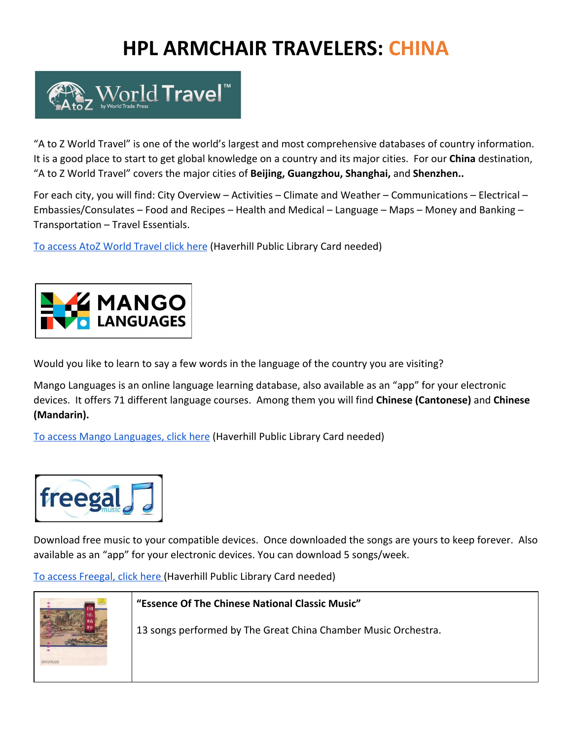# **HPL ARMCHAIR TRAVELERS: CHINA**



"A to Z World Travel" is one of the world's largest and most comprehensive databases of country information. It is a good place to start to get global knowledge on a country and its major cities. For our **China** destination, "A to Z World Travel" covers the major cities of **Beijing, Guangzhou, Shanghai,** and **Shenzhen..**

For each city, you will find: City Overview – Activities – Climate and Weather – Communications – Electrical – Embassies/Consulates – Food and Recipes – Health and Medical – Language – Maps – Money and Banking – Transportation – Travel Essentials.

[To access AtoZ World Travel click here](https://www.atozworldtravel.com/?c=AudsYrEeI5) (Haverhill Public Library Card needed)



Would you like to learn to say a few words in the language of the country you are visiting?

Mango Languages is an online language learning database, also available as an "app" for your electronic devices. It offers 71 different language courses. Among them you will find **Chinese (Cantonese)** and **Chinese (Mandarin).**

[To access Mango Languages, click here](https://learn.mangolanguages.com/login?gymToken=MDAzNjA4ODM4ODM4MWQwNDc6dXVpZD0tMSxleHA9MTYwMTk5NDc4NSxpcD0wLHVybD0wLGE9MTMzNyxjbGllbnRfaXA9NzIuNjUuMTA0LjEwNyxyZWZlcnJlcj0=) (Haverhill Public Library Card needed)



Download free music to your compatible devices. Once downloaded the songs are yours to keep forever. Also available as an "app" for your electronic devices. You can download 5 songs/week.

[To access Freegal, click here \(](https://haverhillpl.freegalmusic.com/home)Haverhill Public Library Card needed)



**"Essence Of The Chinese National Classic Music"**

13 songs performed by The Great China Chamber Music Orchestra.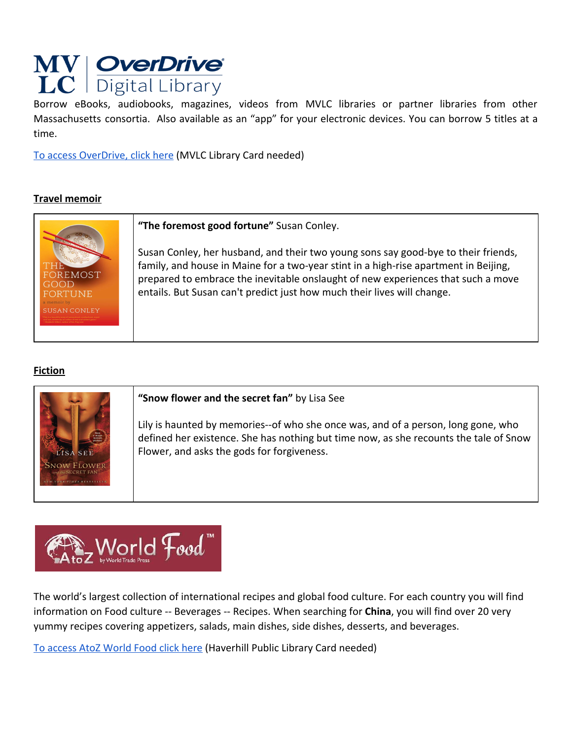

Borrow eBooks, audiobooks, magazines, videos from MVLC libraries or partner libraries from other Massachusetts consortia. Also available as an "app" for your electronic devices. You can borrow 5 titles at a time.

[To access OverDrive, click here](https://mvlc.overdrive.com/) (MVLC Library Card needed)

# **Travel memoir**



**"The foremost good fortune"** Susan Conley.

Susan Conley, her husband, and their two young sons say good-bye to their friends, family, and house in Maine for a two-year stint in a high-rise apartment in Beijing, prepared to embrace the inevitable onslaught of new experiences that such a move entails. But Susan can't predict just how much their lives will change.

## **Fiction**



#### **"Snow flower and the secret fan"** by Lisa See

Lily is haunted by memories--of who she once was, and of a person, long gone, who defined her existence. She has nothing but time now, as she recounts the tale of Snow Flower, and asks the gods for forgiveness.



The world's largest collection of international recipes and global food culture. For each country you will find information on Food culture -- Beverages -- Recipes. When searching for **China**, you will find over 20 very yummy recipes covering appetizers, salads, main dishes, side dishes, desserts, and beverages.

[To access AtoZ World Food click here](https://www.atozworldfood.com/?c=AudsYrEeI5) (Haverhill Public Library Card needed)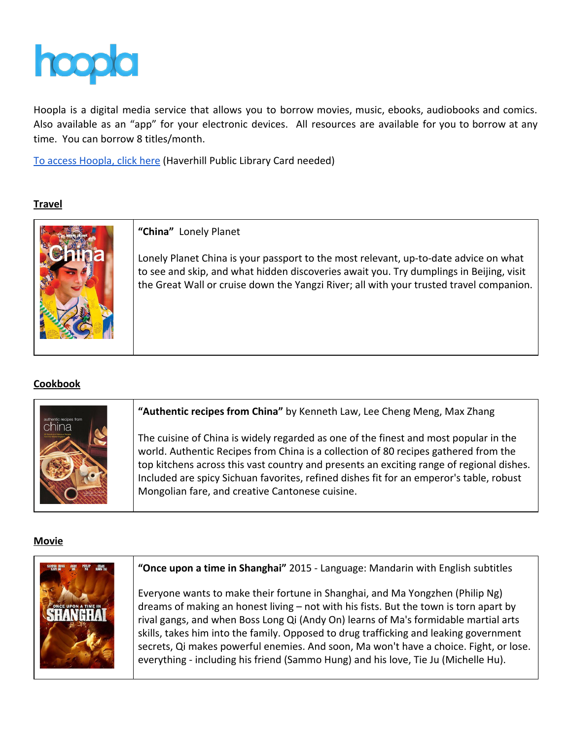

Hoopla is a digital media service that allows you to borrow movies, music, ebooks, audiobooks and comics. Also available as an "app" for your electronic devices. All resources are available for you to borrow at any time. You can borrow 8 titles/month.

[To access Hoopla, click here](https://www.hoopladigital.com/) (Haverhill Public Library Card needed)

## **Travel**



**"China"** Lonely Planet

Lonely Planet China is your passport to the most relevant, up-to-date advice on what to see and skip, and what hidden discoveries await you. Try dumplings in Beijing, visit the Great Wall or cruise down the Yangzi River; all with your trusted travel companion.

## **Cookbook**



## **Movie**